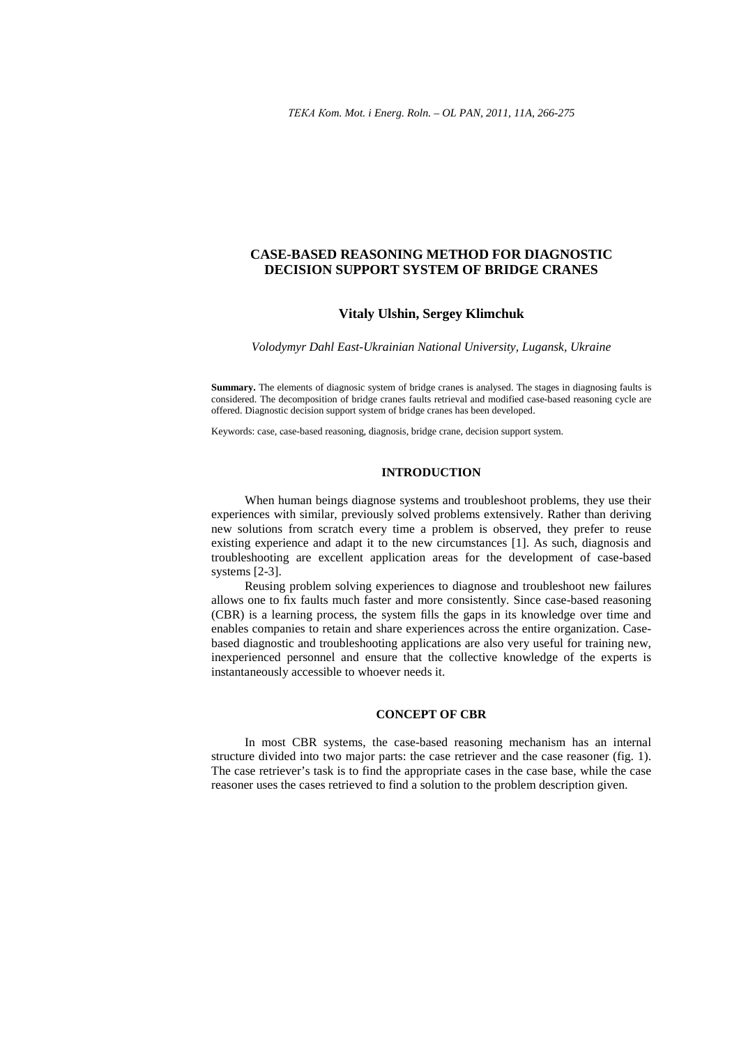# **CASE-BASED REASONING METHOD FOR DIAGNOSTIC DECISION SUPPORT SYSTEM OF BRIDGE CRANES**

### **Vitaly Ulshin, Sergey Klimchuk**

*Volodymyr Dahl East-Ukrainian National University, Lugansk, Ukraine* 

**Summary.** The elements of diagnosic system of bridge cranes is analysed. The stages in diagnosing faults is considered. The decomposition of bridge cranes faults retrieval and modified case-based reasoning cycle are offered. Diagnostic decision support system of bridge cranes has been developed.

Keywords: case, сase-based reasoning, diagnosis, bridge crane, decision support system.

# **INTRODUCTION**

When human beings diagnose systems and troubleshoot problems, they use their experiences with similar, previously solved problems extensively. Rather than deriving new solutions from scratch every time a problem is observed, they prefer to reuse existing experience and adapt it to the new circumstances [1]. As such, diagnosis and troubleshooting are excellent application areas for the development of case-based systems [2-3].

Reusing problem solving experiences to diagnose and troubleshoot new failures allows one to fix faults much faster and more consistently. Since case-based reasoning (CBR) is a learning process, the system fills the gaps in its knowledge over time and enables companies to retain and share experiences across the entire organization. Casebased diagnostic and troubleshooting applications are also very useful for training new, inexperienced personnel and ensure that the collective knowledge of the experts is instantaneously accessible to whoever needs it.

### **CONCEPT OF CBR**

In most CBR systems, the case-based reasoning mechanism has an internal structure divided into two major parts: the case retriever and the case reasoner (fig. 1). The case retriever's task is to find the appropriate cases in the case base, while the case reasoner uses the cases retrieved to find a solution to the problem description given.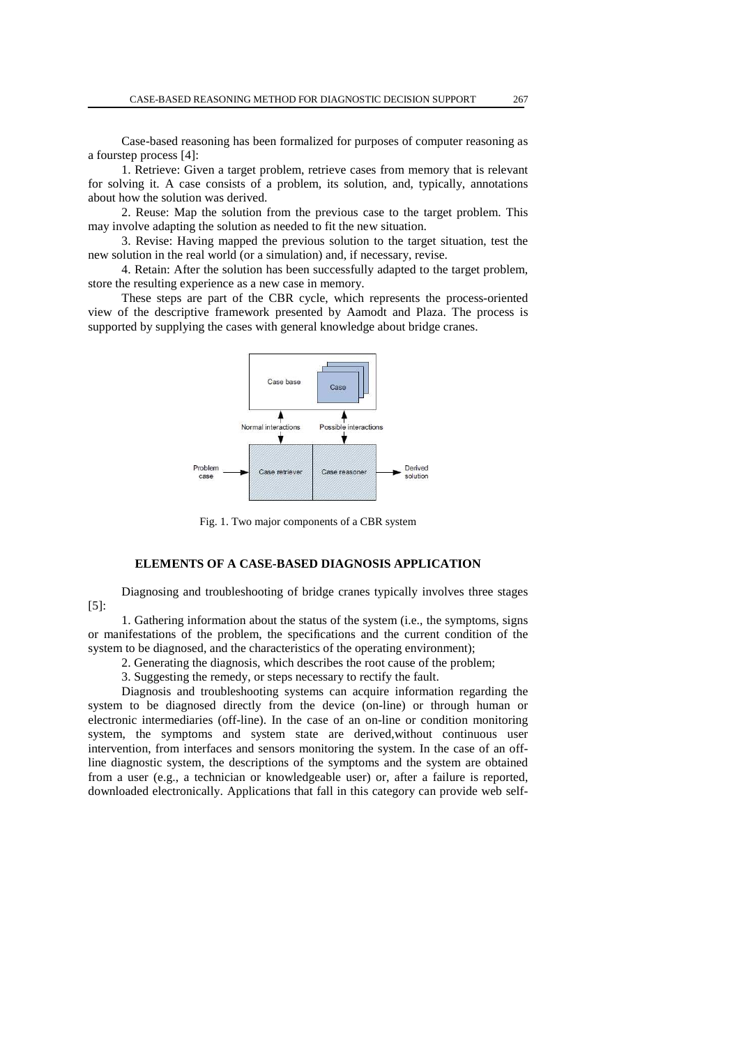Case-based reasoning has been formalized for purposes of computer reasoning as a fourstep process [4]:

1. Retrieve: Given a target problem, retrieve cases from memory that is relevant for solving it. A case consists of a problem, its solution, and, typically, annotations about how the solution was derived.

2. Reuse: Map the solution from the previous case to the target problem. This may involve adapting the solution as needed to fit the new situation.

3. Revise: Having mapped the previous solution to the target situation, test the new solution in the real world (or a simulation) and, if necessary, revise.

4. Retain: After the solution has been successfully adapted to the target problem, store the resulting experience as a new case in memory.

These steps are part of the CBR cycle, which represents the process-oriented view of the descriptive framework presented by Aamodt and Plaza. The process is supported by supplying the cases with general knowledge about bridge cranes.



Fig. 1. Two major components of a CBR system

# **ELEMENTS OF A CASE-BASED DIAGNOSIS APPLICATION**

Diagnosing and troubleshooting of bridge cranes typically involves three stages  $[5]$ :

1. Gathering information about the status of the system (i.e., the symptoms, signs or manifestations of the problem, the specifications and the current condition of the system to be diagnosed, and the characteristics of the operating environment);

2. Generating the diagnosis, which describes the root cause of the problem;

3. Suggesting the remedy, or steps necessary to rectify the fault.

Diagnosis and troubleshooting systems can acquire information regarding the system to be diagnosed directly from the device (on-line) or through human or electronic intermediaries (off-line). In the case of an on-line or condition monitoring system, the symptoms and system state are derived,without continuous user intervention, from interfaces and sensors monitoring the system. In the case of an offline diagnostic system, the descriptions of the symptoms and the system are obtained from a user (e.g., a technician or knowledgeable user) or, after a failure is reported, downloaded electronically. Applications that fall in this category can provide web self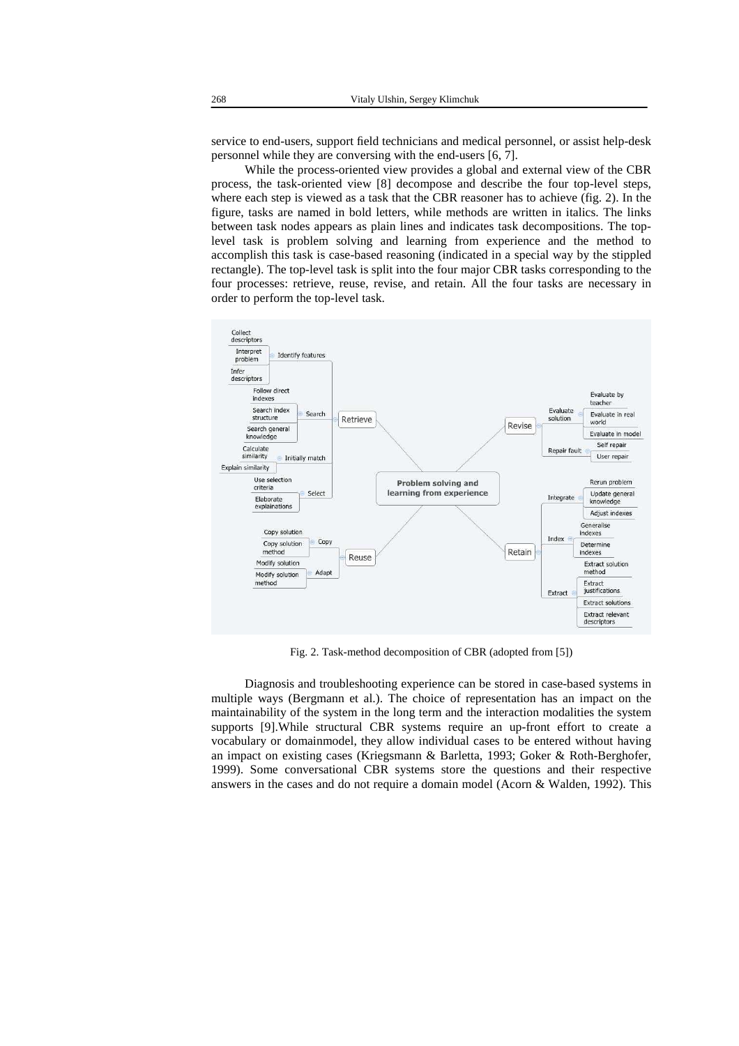service to end-users, support field technicians and medical personnel, or assist help-desk personnel while they are conversing with the end-users [6, 7].

While the process-oriented view provides a global and external view of the CBR process, the task-oriented view [8] decompose and describe the four top-level steps, where each step is viewed as a task that the CBR reasoner has to achieve (fig. 2). In the figure, tasks are named in bold letters, while methods are written in italics. The links between task nodes appears as plain lines and indicates task decompositions. The toplevel task is problem solving and learning from experience and the method to accomplish this task is case-based reasoning (indicated in a special way by the stippled rectangle). The top-level task is split into the four major CBR tasks corresponding to the four processes: retrieve, reuse, revise, and retain. All the four tasks are necessary in order to perform the top-level task.



Fig. 2. Task-method decomposition of CBR (adopted from [5])

Diagnosis and troubleshooting experience can be stored in case-based systems in multiple ways (Bergmann et al.). The choice of representation has an impact on the maintainability of the system in the long term and the interaction modalities the system supports [9].While structural CBR systems require an up-front effort to create a vocabulary or domainmodel, they allow individual cases to be entered without having an impact on existing cases (Kriegsmann & Barletta, 1993; Goker & Roth-Berghofer, 1999). Some conversational CBR systems store the questions and their respective answers in the cases and do not require a domain model (Acorn & Walden, 1992). This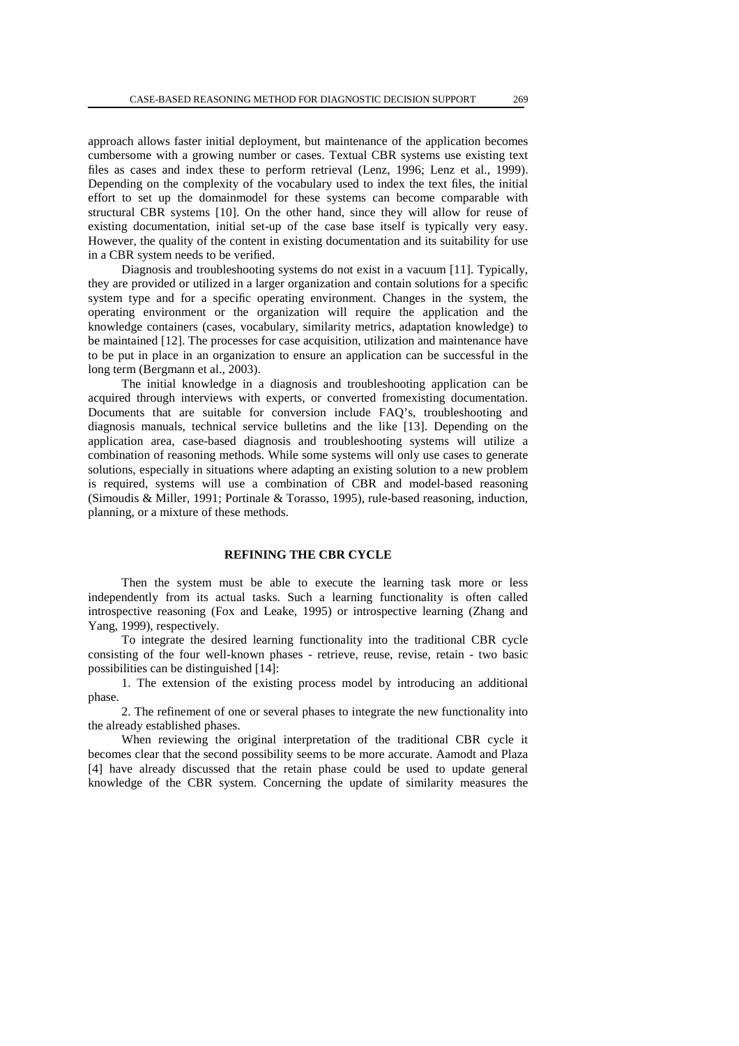approach allows faster initial deployment, but maintenance of the application becomes cumbersome with a growing number or cases. Textual CBR systems use existing text files as cases and index these to perform retrieval (Lenz, 1996; Lenz et al., 1999). Depending on the complexity of the vocabulary used to index the text files, the initial effort to set up the domainmodel for these systems can become comparable with structural CBR systems [10]. On the other hand, since they will allow for reuse of existing documentation, initial set-up of the case base itself is typically very easy. However, the quality of the content in existing documentation and its suitability for use in a CBR system needs to be verified.

Diagnosis and troubleshooting systems do not exist in a vacuum [11]. Typically, they are provided or utilized in a larger organization and contain solutions for a specific system type and for a specific operating environment. Changes in the system, the operating environment or the organization will require the application and the knowledge containers (cases, vocabulary, similarity metrics, adaptation knowledge) to be maintained [12]. The processes for case acquisition, utilization and maintenance have to be put in place in an organization to ensure an application can be successful in the long term (Bergmann et al., 2003).

The initial knowledge in a diagnosis and troubleshooting application can be acquired through interviews with experts, or converted fromexisting documentation. Documents that are suitable for conversion include FAQ's, troubleshooting and diagnosis manuals, technical service bulletins and the like [13]. Depending on the application area, case-based diagnosis and troubleshooting systems will utilize a combination of reasoning methods. While some systems will only use cases to generate solutions, especially in situations where adapting an existing solution to a new problem is required, systems will use a combination of CBR and model-based reasoning (Simoudis & Miller, 1991; Portinale & Torasso, 1995), rule-based reasoning, induction, planning, or a mixture of these methods.

### **REFINING THE CBR CYCLE**

Then the system must be able to execute the learning task more or less independently from its actual tasks. Such a learning functionality is often called introspective reasoning (Fox and Leake, 1995) or introspective learning (Zhang and Yang, 1999), respectively.

To integrate the desired learning functionality into the traditional CBR cycle consisting of the four well-known phases - retrieve, reuse, revise, retain - two basic possibilities can be distinguished [14]:

1. The extension of the existing process model by introducing an additional phase.

2. The refinement of one or several phases to integrate the new functionality into the already established phases.

When reviewing the original interpretation of the traditional CBR cycle it becomes clear that the second possibility seems to be more accurate. Aamodt and Plaza [4] have already discussed that the retain phase could be used to update general knowledge of the CBR system. Concerning the update of similarity measures the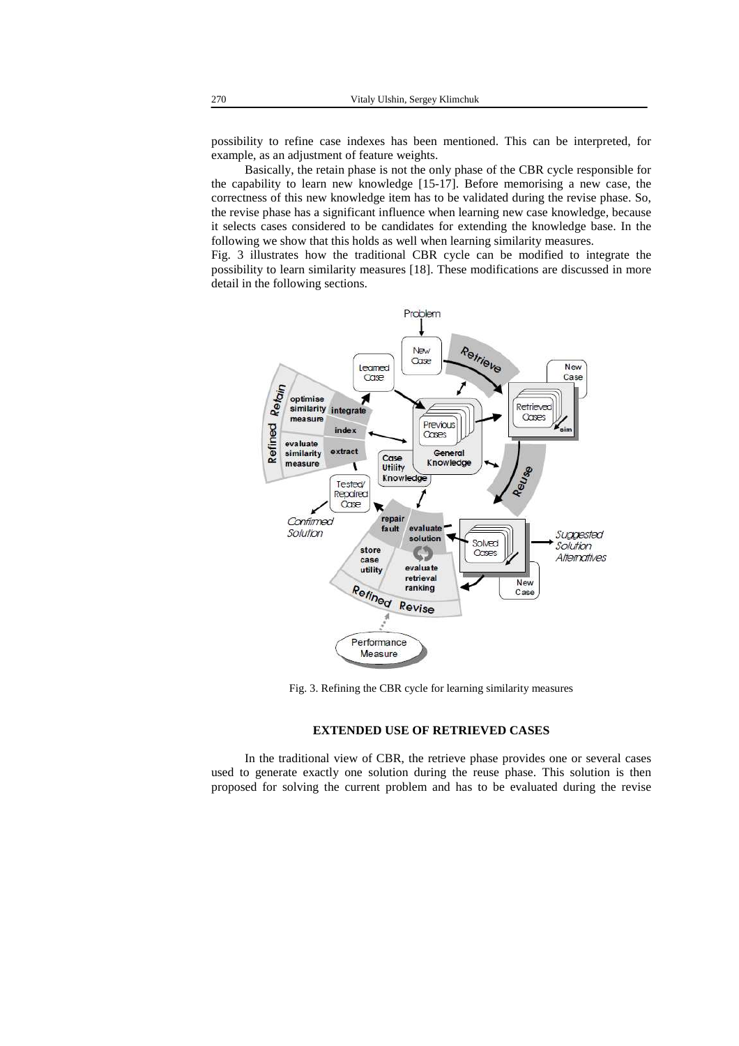possibility to refine case indexes has been mentioned. This can be interpreted, for example, as an adjustment of feature weights.

Basically, the retain phase is not the only phase of the CBR cycle responsible for the capability to learn new knowledge [15-17]. Before memorising a new case, the correctness of this new knowledge item has to be validated during the revise phase. So, the revise phase has a significant influence when learning new case knowledge, because it selects cases considered to be candidates for extending the knowledge base. In the following we show that this holds as well when learning similarity measures.

Fig. 3 illustrates how the traditional CBR cycle can be modified to integrate the possibility to learn similarity measures [18]. These modifications are discussed in more detail in the following sections.



Fig. 3. Refining the CBR cycle for learning similarity measures

# **EXTENDED USE OF RETRIEVED CASES**

In the traditional view of CBR, the retrieve phase provides one or several cases used to generate exactly one solution during the reuse phase. This solution is then proposed for solving the current problem and has to be evaluated during the revise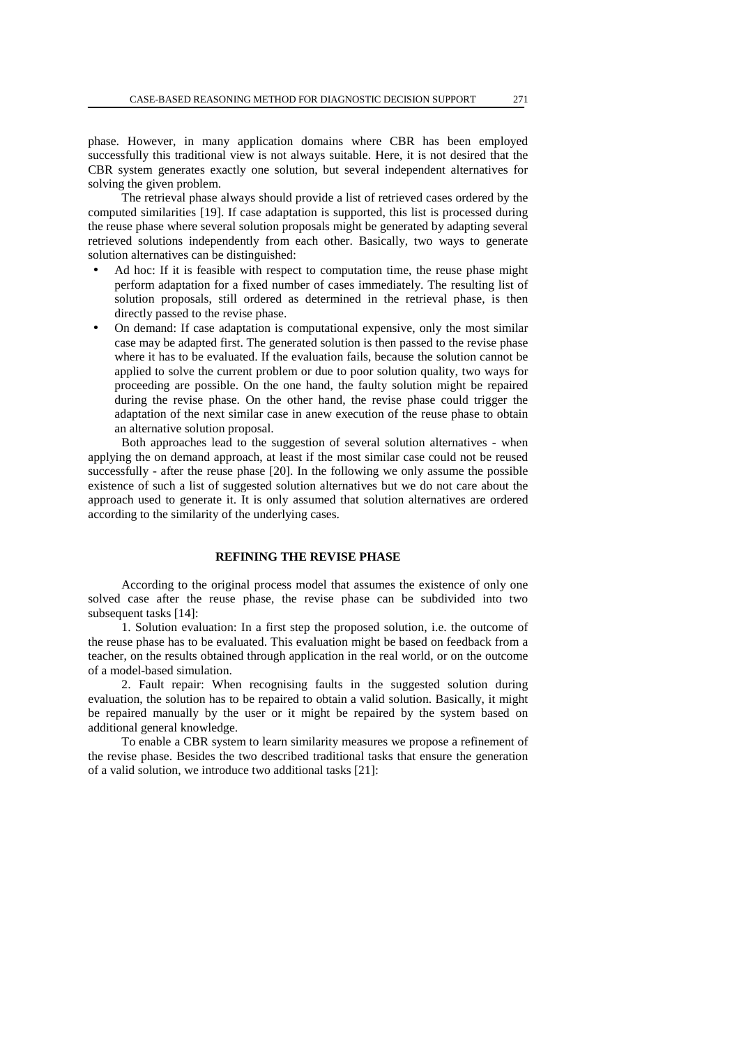phase. However, in many application domains where CBR has been employed successfully this traditional view is not always suitable. Here, it is not desired that the CBR system generates exactly one solution, but several independent alternatives for solving the given problem.

The retrieval phase always should provide a list of retrieved cases ordered by the computed similarities [19]. If case adaptation is supported, this list is processed during the reuse phase where several solution proposals might be generated by adapting several retrieved solutions independently from each other. Basically, two ways to generate solution alternatives can be distinguished:

- Ad hoc: If it is feasible with respect to computation time, the reuse phase might perform adaptation for a fixed number of cases immediately. The resulting list of solution proposals, still ordered as determined in the retrieval phase, is then directly passed to the revise phase.
- On demand: If case adaptation is computational expensive, only the most similar case may be adapted first. The generated solution is then passed to the revise phase where it has to be evaluated. If the evaluation fails, because the solution cannot be applied to solve the current problem or due to poor solution quality, two ways for proceeding are possible. On the one hand, the faulty solution might be repaired during the revise phase. On the other hand, the revise phase could trigger the adaptation of the next similar case in anew execution of the reuse phase to obtain an alternative solution proposal.

Both approaches lead to the suggestion of several solution alternatives - when applying the on demand approach, at least if the most similar case could not be reused successfully - after the reuse phase [20]. In the following we only assume the possible existence of such a list of suggested solution alternatives but we do not care about the approach used to generate it. It is only assumed that solution alternatives are ordered according to the similarity of the underlying cases.

# **REFINING THE REVISE PHASE**

According to the original process model that assumes the existence of only one solved case after the reuse phase, the revise phase can be subdivided into two subsequent tasks [14]:

1. Solution evaluation: In a first step the proposed solution, i.e. the outcome of the reuse phase has to be evaluated. This evaluation might be based on feedback from a teacher, on the results obtained through application in the real world, or on the outcome of a model-based simulation.

2. Fault repair: When recognising faults in the suggested solution during evaluation, the solution has to be repaired to obtain a valid solution. Basically, it might be repaired manually by the user or it might be repaired by the system based on additional general knowledge.

To enable a CBR system to learn similarity measures we propose a refinement of the revise phase. Besides the two described traditional tasks that ensure the generation of a valid solution, we introduce two additional tasks [21]: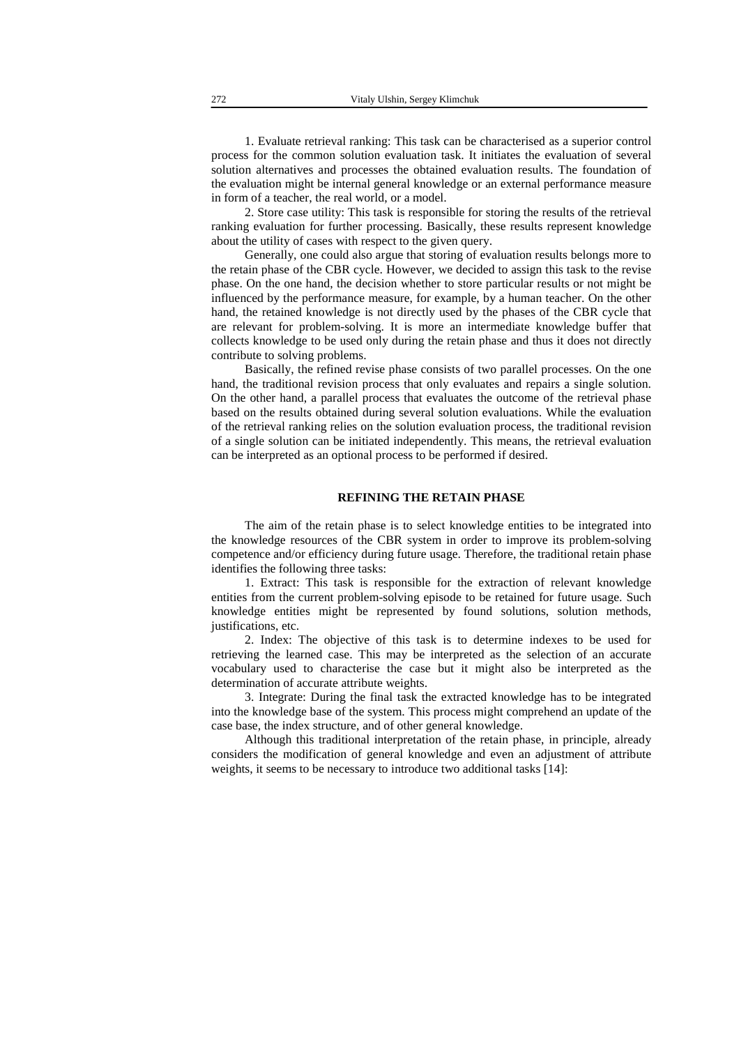1. Evaluate retrieval ranking: This task can be characterised as a superior control process for the common solution evaluation task. It initiates the evaluation of several solution alternatives and processes the obtained evaluation results. The foundation of the evaluation might be internal general knowledge or an external performance measure in form of a teacher, the real world, or a model.

2. Store case utility: This task is responsible for storing the results of the retrieval ranking evaluation for further processing. Basically, these results represent knowledge about the utility of cases with respect to the given query.

Generally, one could also argue that storing of evaluation results belongs more to the retain phase of the CBR cycle. However, we decided to assign this task to the revise phase. On the one hand, the decision whether to store particular results or not might be influenced by the performance measure, for example, by a human teacher. On the other hand, the retained knowledge is not directly used by the phases of the CBR cycle that are relevant for problem-solving. It is more an intermediate knowledge buffer that collects knowledge to be used only during the retain phase and thus it does not directly contribute to solving problems.

Basically, the refined revise phase consists of two parallel processes. On the one hand, the traditional revision process that only evaluates and repairs a single solution. On the other hand, a parallel process that evaluates the outcome of the retrieval phase based on the results obtained during several solution evaluations. While the evaluation of the retrieval ranking relies on the solution evaluation process, the traditional revision of a single solution can be initiated independently. This means, the retrieval evaluation can be interpreted as an optional process to be performed if desired.

### **REFINING THE RETAIN PHASE**

The aim of the retain phase is to select knowledge entities to be integrated into the knowledge resources of the CBR system in order to improve its problem-solving competence and/or efficiency during future usage. Therefore, the traditional retain phase identifies the following three tasks:

1. Extract: This task is responsible for the extraction of relevant knowledge entities from the current problem-solving episode to be retained for future usage. Such knowledge entities might be represented by found solutions, solution methods, justifications, etc.

2. Index: The objective of this task is to determine indexes to be used for retrieving the learned case. This may be interpreted as the selection of an accurate vocabulary used to characterise the case but it might also be interpreted as the determination of accurate attribute weights.

3. Integrate: During the final task the extracted knowledge has to be integrated into the knowledge base of the system. This process might comprehend an update of the case base, the index structure, and of other general knowledge.

Although this traditional interpretation of the retain phase, in principle, already considers the modification of general knowledge and even an adjustment of attribute weights, it seems to be necessary to introduce two additional tasks [14]: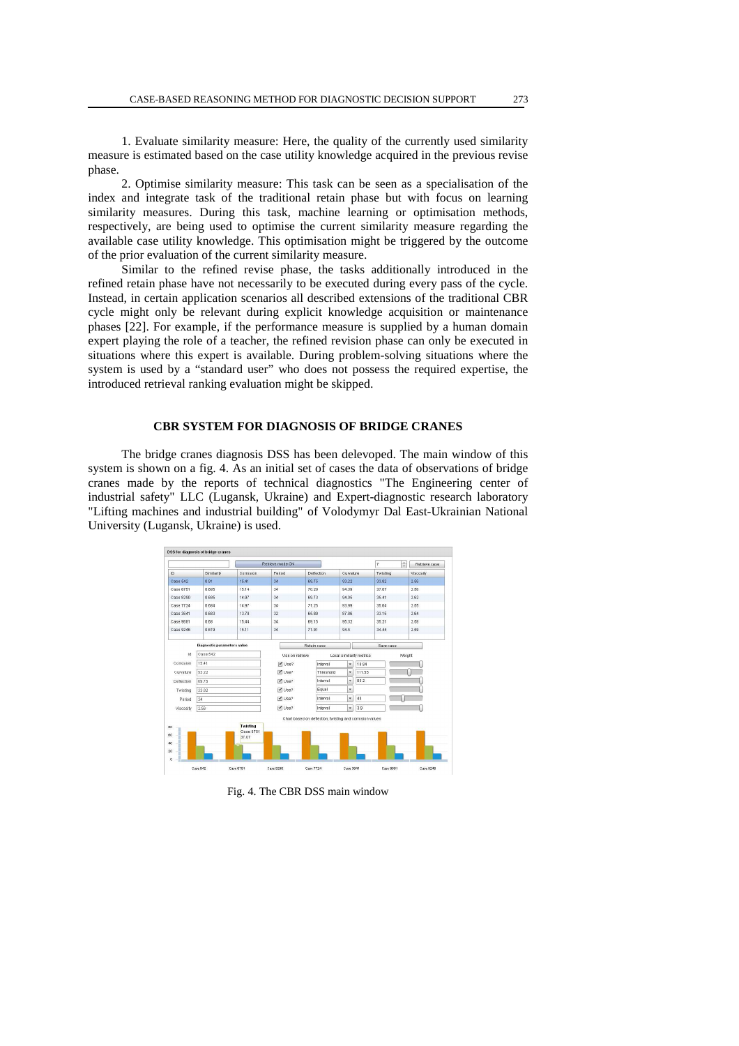1. Evaluate similarity measure: Here, the quality of the currently used similarity measure is estimated based on the case utility knowledge acquired in the previous revise phase.

2. Optimise similarity measure: This task can be seen as a specialisation of the index and integrate task of the traditional retain phase but with focus on learning similarity measures. During this task, machine learning or optimisation methods, respectively, are being used to optimise the current similarity measure regarding the available case utility knowledge. This optimisation might be triggered by the outcome of the prior evaluation of the current similarity measure.

Similar to the refined revise phase, the tasks additionally introduced in the refined retain phase have not necessarily to be executed during every pass of the cycle. Instead, in certain application scenarios all described extensions of the traditional CBR cycle might only be relevant during explicit knowledge acquisition or maintenance phases [22]. For example, if the performance measure is supplied by a human domain expert playing the role of a teacher, the refined revision phase can only be executed in situations where this expert is available. During problem-solving situations where the system is used by a "standard user" who does not possess the required expertise, the introduced retrieval ranking evaluation might be skipped.

### **CBR SYSTEM FOR DIAGNOSIS OF BRIDGE CRANES**

The bridge cranes diagnosis DSS has been delevoped. The main window of this system is shown on a fig. 4. As an initial set of cases the data of observations of bridge cranes made by the reports of technical diagnostics "The Engineering center of industrial safety" LLC (Lugansk, Ukraine) and Expert-diagnostic research laboratory "Lifting machines and industrial building" of Volodymyr Dal East-Ukrainian National University (Lugansk, Ukraine) is used.



Fig. 4. The CBR DSS main window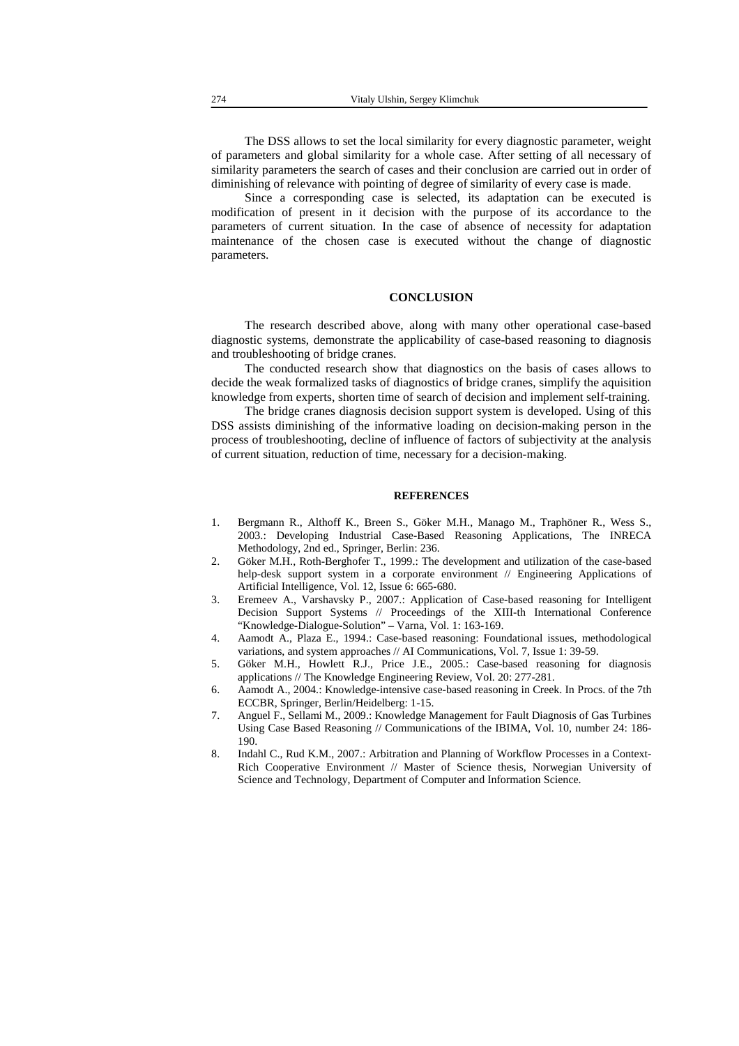The DSS allows to set the local similarity for every diagnostic parameter, weight of parameters and global similarity for a whole case. After setting of all necessary of similarity parameters the search of cases and their conclusion are carried out in order of diminishing of relevance with pointing of degree of similarity of every case is made.

Since a corresponding case is selected, its adaptation can be executed is modification of present in it decision with the purpose of its accordance to the parameters of current situation. In the case of absence of necessity for adaptation maintenance of the chosen case is executed without the change of diagnostic parameters.

### **CONCLUSION**

The research described above, along with many other operational case-based diagnostic systems, demonstrate the applicability of case-based reasoning to diagnosis and troubleshooting of bridge cranes.

The conducted research show that diagnostics on the basis of cases allows to decide the weak formalized tasks of diagnostics of bridge cranes, simplify the aquisition knowledge from experts, shorten time of search of decision and implement self-training.

The bridge cranes diagnosis decision support system is developed. Using of this DSS assists diminishing of the informative loading on decision-making person in the process of troubleshooting, decline of influence of factors of subjectivity at the analysis of current situation, reduction of time, necessary for a decision-making.

#### **REFERENCES**

- 1. Bergmann R., Althoff K., Breen S., Göker M.H., Manago M., Traphöner R., Wess S., 2003.: Developing Industrial Case-Based Reasoning Applications, The INRECA Methodology, 2nd ed., Springer, Berlin: 236.
- 2. Göker M.H., Roth-Berghofer T., 1999.: The development and utilization of the case-based help-desk support system in a corporate environment // Engineering Applications of Artificial Intelligence, Vol. 12, Issue 6: 665-680.
- 3. Eremeev A., Varshavsky P., 2007.: Application of Case-based reasoning for Intelligent Decision Support Systems // Proceedings of the XIII-th International Conference "Knowledge-Dialogue-Solution" – Varna, Vol. 1: 163-169.
- 4. Aamodt A., Plaza E., 1994.: Case-based reasoning: Foundational issues, methodological variations, and system approaches // AI Communications, Vol. 7, Issue 1: 39-59.
- 5. Göker M.H., Howlett R.J., Price J.E., 2005.: Case-based reasoning for diagnosis applications // The Knowledge Engineering Review, Vol. 20: 277-281.
- 6. Aamodt A., 2004.: Knowledge-intensive case-based reasoning in Creek. In Procs. of the 7th ECCBR, Springer, Berlin/Heidelberg: 1-15.
- 7. Anguel F., Sellami M., 2009.: Knowledge Management for Fault Diagnosis of Gas Turbines Using Case Based Reasoning // Communications of the IBIMA, Vol. 10, number 24: 186- 190.
- 8. Indahl C., Rud K.M., 2007.: Arbitration and Planning of Workflow Processes in a Context-Rich Cooperative Environment // Master of Science thesis, Norwegian University of Science and Technology, Department of Computer and Information Science.